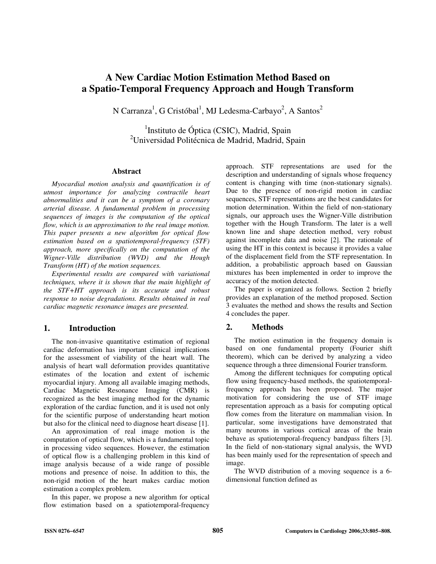# **A New Cardiac Motion Estimation Method Based on a Spatio-Temporal Frequency Approach and Hough Transform**

N Carranza<sup>1</sup>, G Cristóbal<sup>1</sup>, MJ Ledesma-Carbayo<sup>2</sup>, A Santos<sup>2</sup>

<sup>1</sup>Instituto de Óptica (CSIC), Madrid, Spain <sup>2</sup>Universidad Politécnica de Madrid, Madrid, Spain

#### **Abstract**

*Myocardial motion analysis and quantification is of utmost importance for analyzing contractile heart abnormalities and it can be a symptom of a coronary arterial disease. A fundamental problem in processing sequences of images is the computation of the optical flow, which is an approximation to the real image motion. This paper presents a new algorithm for optical flow estimation based on a spatiotemporal-frequency (STF) approach, more specifically on the computation of the Wigner-Ville distribution (WVD) and the Hough Transform (HT) of the motion sequences.* 

*Experimental results are compared with variational techniques, where it is shown that the main highlight of the STF+HT approach is its accurate and robust response to noise degradations. Results obtained in real cardiac magnetic resonance images are presented.* 

# **1. Introduction**

The non-invasive quantitative estimation of regional cardiac deformation has important clinical implications for the assessment of viability of the heart wall. The analysis of heart wall deformation provides quantitative estimates of the location and extent of ischemic myocardial injury. Among all available imaging methods, Cardiac Magnetic Resonance Imaging (CMR) is recognized as the best imaging method for the dynamic exploration of the cardiac function, and it is used not only for the scientific purpose of understanding heart motion but also for the clinical need to diagnose heart disease [1].

An approximation of real image motion is the computation of optical flow, which is a fundamental topic in processing video sequences. However, the estimation of optical flow is a challenging problem in this kind of image analysis because of a wide range of possible motions and presence of noise. In addition to this, the non-rigid motion of the heart makes cardiac motion estimation a complex problem.

In this paper, we propose a new algorithm for optical flow estimation based on a spatiotemporal-frequency

approach. STF representations are used for the description and understanding of signals whose frequency content is changing with time (non-stationary signals). Due to the presence of non-rigid motion in cardiac sequences, STF representations are the best candidates for motion determination. Within the field of non-stationary signals, our approach uses the Wigner-Ville distribution together with the Hough Transform. The later is a well known line and shape detection method, very robust against incomplete data and noise [2]. The rationale of using the HT in this context is because it provides a value of the displacement field from the STF representation. In addition, a probabilistic approach based on Gaussian mixtures has been implemented in order to improve the accuracy of the motion detected.

The paper is organized as follows. Section 2 briefly provides an explanation of the method proposed. Section 3 evaluates the method and shows the results and Section 4 concludes the paper.

## **2. Methods**

The motion estimation in the frequency domain is based on one fundamental property (Fourier shift theorem), which can be derived by analyzing a video sequence through a three dimensional Fourier transform.

Among the different techniques for computing optical flow using frequency-based methods, the spatiotemporalfrequency approach has been proposed. The major motivation for considering the use of STF image representation approach as a basis for computing optical flow comes from the literature on mammalian vision. In particular, some investigations have demonstrated that many neurons in various cortical areas of the brain behave as spatiotemporal-frequency bandpass filters [3]. In the field of non-stationary signal analysis, the WVD has been mainly used for the representation of speech and image.

The WVD distribution of a moving sequence is a 6 dimensional function defined as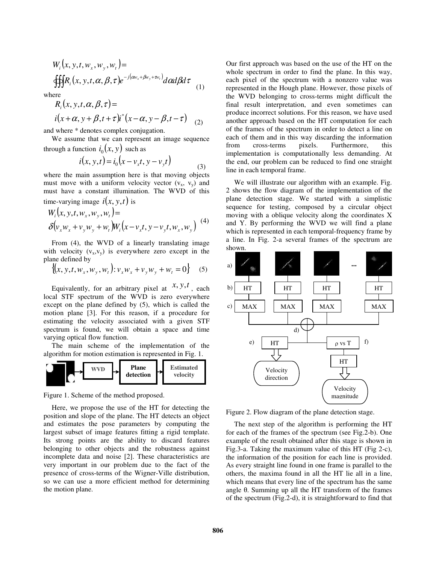$$
W_i(x, y, t, w_x, w_y, w_t) =
$$
  
 
$$
\oint \oint R_i(x, y, t, \alpha, \beta, \tau) e^{-j(\alpha w_x + \beta w_y + \tau w_t)} d\alpha d\beta d\tau
$$
 (1)

where

$$
R_i(x, y, t, \alpha, \beta, \tau) =
$$
  

$$
i(x + \alpha, y + \beta, t + \tau)i^*(x - \alpha, y - \beta, t - \tau)
$$
 (2)

and where \* denotes complex conjugation.

We assume that we can represent an image sequence through a function  $i_0(x, y)$  such as

$$
i(x, y, t) = i_0(x - v_x t, y - v_y t)
$$
\n(3)

where the main assumption here is that moving objects must move with a uniform velocity vector  $(v_x, v_y)$  and must have a constant illumination. The WVD of this time-varying image  $i(x, y, t)$  is

$$
W_i(x, y, t, w_x, w_y, w_t) =
$$
  
\n
$$
\delta(v_x w_x + v_y w_y + w_t) W_i(x - v_x t, y - v_y t, w_x, w_y)
$$
 (4)

From (4), the WVD of a linearly translating image with velocity  $(v_x,v_y)$  is everywhere zero except in the plane defined by

$$
\{(x, y, t, w_x, w_y, w_t): v_x w_x + v_y w_y + w_t = 0\}
$$
 (5)

Equivalently, for an arbitrary pixel at  $x, y, t$ , each local STF spectrum of the WVD is zero everywhere except on the plane defined by (5), which is called the motion plane [3]. For this reason, if a procedure for estimating the velocity associated with a given STF spectrum is found, we will obtain a space and time varying optical flow function.

The main scheme of the implementation of the algorithm for motion estimation is represented in Fig. 1.



Figure 1. Scheme of the method proposed.

Here, we propose the use of the HT for detecting the position and slope of the plane. The HT detects an object and estimates the pose parameters by computing the largest subset of image features fitting a rigid template. Its strong points are the ability to discard features belonging to other objects and the robustness against incomplete data and noise [2]. These characteristics are very important in our problem due to the fact of the presence of cross-terms of the Wigner-Ville distribution, so we can use a more efficient method for determining the motion plane.

Our first approach was based on the use of the HT on the whole spectrum in order to find the plane. In this way, each pixel of the spectrum with a nonzero value was represented in the Hough plane. However, those pixels of the WVD belonging to cross-terms might difficult the final result interpretation, and even sometimes can produce incorrect solutions. For this reason, we have used another approach based on the HT computation for each of the frames of the spectrum in order to detect a line on each of them and in this way discarding the information from cross-terms pixels. Furthermore, this implementation is computationally less demanding. At the end, our problem can be reduced to find one straight line in each temporal frame.

We will illustrate our algorithm with an example. Fig. 2 shows the flow diagram of the implementation of the plane detection stage. We started with a simplistic sequence for testing, composed by a circular object moving with a oblique velocity along the coordinates X and Y. By performing the WVD we will find a plane which is represented in each temporal-frequency frame by a line. In Fig. 2-a several frames of the spectrum are shown.



Figure 2. Flow diagram of the plane detection stage.

The next step of the algorithm is performing the HT for each of the frames of the spectrum (see Fig.2-b). One example of the result obtained after this stage is shown in Fig.3-a. Taking the maximum value of this HT (Fig 2-c), the information of the position for each line is provided. As every straight line found in one frame is parallel to the others, the maxima found in all the HT lie all in a line, which means that every line of the spectrum has the same angle θ. Summing up all the HT transform of the frames of the spectrum (Fig.2-d), it is straightforward to find that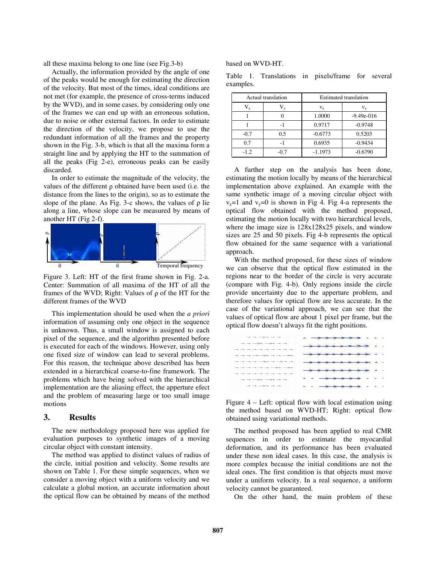all these maxima belong to one line (see Fig.3-b)

Actually, the information provided by the angle of one of the peaks would be enough for estimating the direction of the velocity. But most of the times, ideal conditions are not met (for example, the presence of cross-terms induced by the WVD), and in some cases, by considering only one of the frames we can end up with an erroneous solution, due to noise or other external factors. In order to estimate the direction of the velocity, we propose to use the redundant information of all the frames and the property shown in the Fig. 3-b, which is that all the maxima form a straight line and by applying the HT to the summation of all the peaks (Fig 2-e), erroneous peaks can be easily discarded.

In order to estimate the magnitude of the velocity, the values of the different ρ obtained have been used (i.e. the distance from the lines to the origin), so as to estimate the slope of the plane. As Fig. 3-c shows, the values of  $\rho$  lie along a line, whose slope can be measured by means of another HT (Fig 2-f).



Figure 3. Left: HT of the first frame shown in Fig. 2-a. Center: Summation of all maxima of the HT of all the frames of the WVD; Right: Values of  $\rho$  of the HT for the different frames of the WVD

This implementation should be used when the *a priori* information of assuming only one object in the sequence is unknown. Thus, a small window is assigned to each pixel of the sequence, and the algorithm presented before is executed for each of the windows. However, using only one fixed size of window can lead to several problems. For this reason, the technique above described has been extended in a hierarchical coarse-to-fine framework. The problems which have being solved with the hierarchical implementation are the aliasing effect, the apperture efect and the problem of measuring large or too small image motions

#### **3. Results**

The new methodology proposed here was applied for evaluation purposes to synthetic images of a moving circular object with constant intensity.

The method was applied to distinct values of radius of the circle, initial position and velocity. Some results are shown on Table 1. For these simple sequences, when we consider a moving object with a uniform velocity and we calculate a global motion, an accurate information about the optical flow can be obtained by means of the method

based on WVD-HT.

|           |  | Table 1. Translations in pixels/frame for several |  |
|-----------|--|---------------------------------------------------|--|
| examples. |  |                                                   |  |

|        | Actual translation | <b>Estimated translation</b> |                |  |
|--------|--------------------|------------------------------|----------------|--|
| V,     |                    | $V_{x}$                      | V <sub>v</sub> |  |
|        |                    | 1.0000                       | $-9.49e-016$   |  |
|        |                    | 0.9717                       | $-0.9748$      |  |
| $-0.7$ | 0.5                | $-0.6773$                    | 0.5203         |  |
| 0.7    |                    | 0.6935                       | $-0.9434$      |  |
| -1.2   | $-0.7$             | $-1.1973$                    | $-0.6790$      |  |

A further step on the analysis has been done, estimating the motion locally by means of the hierarchical implementation above explained. An example with the same synthetic image of a moving circular object with  $v_x=1$  and  $v_y=0$  is shown in Fig 4. Fig 4-a represents the optical flow obtained with the method proposed, estimating the motion locally with two hierarchical levels, where the image size is 128x128x25 pixels, and window sizes are 25 and 50 pixels. Fig 4-b represents the optical flow obtained for the same sequence with a variational approach.

With the method proposed, for these sizes of window we can observe that the optical flow estimated in the regions near to the border of the circle is very accurate (compare with Fig. 4-b). Only regions inside the circle provide uncertainty due to the apperture problem, and therefore values for optical flow are less accurate. In the case of the variational approach, we can see that the values of optical flow are about 1 pixel per frame, but the optical flow doesn't always fit the right positions.

| * - - <del>*</del> - - - -                                                                                                                 | $\overline{\phantom{a}}$                                                                |  |
|--------------------------------------------------------------------------------------------------------------------------------------------|-----------------------------------------------------------------------------------------|--|
| $\rightarrow \rightarrow \rightarrow \rightarrow \rightarrow \rightarrow \rightarrow \rightarrow \rightarrow \rightarrow$<br>------------- | $\rightarrow \rightarrow \rightarrow \rightarrow \rightarrow \rightarrow \rightarrow$ . |  |
| $\rightarrow \rightarrow \rightarrow \rightarrow \rightarrow \rightarrow \rightarrow \rightarrow \rightarrow \rightarrow$                  |                                                                                         |  |
| $\rightarrow \rightarrow \rightarrow \rightarrow \rightarrow \rightarrow \rightarrow \rightarrow \rightarrow \rightarrow$                  | <del>- &gt; &gt; &gt; &gt; &gt; &gt; &gt; +</del> + +                                   |  |
|                                                                                                                                            | $\longrightarrow$                                                                       |  |
|                                                                                                                                            | . . <del>.</del> .                                                                      |  |
|                                                                                                                                            | $-222221$                                                                               |  |
| the contract of the contract of the contract of the contract of the contract of the contract of                                            |                                                                                         |  |

Figure 4 – Left: optical flow with local estimation using the method based on WVD-HT; Right: optical flow obtained using variational methods.

The method proposed has been applied to real CMR sequences in order to estimate the myocardial deformation, and its performance has been evaluated under these non ideal cases. In this case, the analysis is more complex because the initial conditions are not the ideal ones. The first condition is that objects must move under a uniform velocity. In a real sequence, a uniform velocity cannot be guaranteed.

On the other hand, the main problem of these